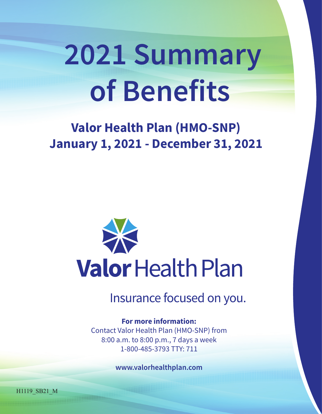# **2021 Summary of Benefits**

## **Valor Health Plan (HMO-SNP) January 1, 2021 - December 31, 2021**



Insurance focused on you.

#### **For more information:**

Contact Valor Health Plan (HMO-SNP) from 8:00 a.m. to 8:00 p.m., 7 days a week 1-800-485-3793 TTY: 711

**www.valorhealthplan.com**

H1119\_SB21\_M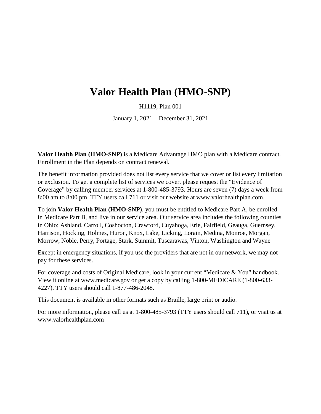### **Valor Health Plan (HMO-SNP)**

H1119, Plan 001

January 1, 2021 – December 31, 2021

**Valor Health Plan (HMO-SNP)** is a Medicare Advantage HMO plan with a Medicare contract. Enrollment in the Plan depends on contract renewal.

The benefit information provided does not list every service that we cover or list every limitation or exclusion. To get a complete list of services we cover, please request the "Evidence of Coverage" by calling member services at 1-800-485-3793. Hours are seven (7) days a week from 8:00 am to 8:00 pm. TTY users call 711 or visit our website at [www.valorhealthplan.com.](http://www.valorhealthplan.com/)

To join **Valor Health Plan (HMO-SNP)**, you must be entitled to Medicare Part A, be enrolled in Medicare Part B, and live in our service area. Our service area includes the following counties in Ohio: Ashland, Carroll, Coshocton, Crawford, Cuyahoga, Erie, Fairfield, Geauga, Guernsey, Harrison, Hocking, Holmes, Huron, Knox, Lake, Licking, Lorain, Medina, Monroe, Morgan, Morrow, Noble, Perry, Portage, Stark, Summit, Tuscarawas, Vinton, Washington and Wayne

Except in emergency situations, if you use the providers that are not in our network, we may not pay for these services.

For coverage and costs of Original Medicare, look in your current "Medicare & You" handbook. View it online at [www.medicare.gov](http://www.medicare.gov/) or get a copy by calling 1-800-MEDICARE (1-800-633- 4227). TTY users should call 1-877-486-2048.

This document is available in other formats such as Braille, large print or audio.

For more information, please call us at 1-800-485-3793 (TTY users should call 711), or visit us at [www.valorhealthplan.com](http://www.valorhealthplan.com/)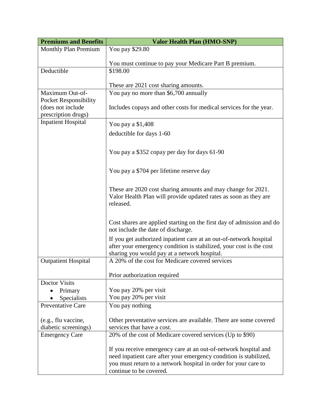| <b>Premiums and Benefits</b>                                             | <b>Valor Health Plan (HMO-SNP)</b>                                                                                                                                                                                                 |  |  |  |
|--------------------------------------------------------------------------|------------------------------------------------------------------------------------------------------------------------------------------------------------------------------------------------------------------------------------|--|--|--|
| <b>Monthly Plan Premium</b>                                              | You pay \$29.80                                                                                                                                                                                                                    |  |  |  |
|                                                                          | You must continue to pay your Medicare Part B premium.                                                                                                                                                                             |  |  |  |
| Deductible                                                               | \$198.00                                                                                                                                                                                                                           |  |  |  |
|                                                                          | These are 2021 cost sharing amounts.                                                                                                                                                                                               |  |  |  |
| Maximum Out-of-                                                          | You pay no more than \$6,700 annually                                                                                                                                                                                              |  |  |  |
| <b>Pocket Responsibility</b><br>(does not include<br>prescription drugs) | Includes copays and other costs for medical services for the year.                                                                                                                                                                 |  |  |  |
| <b>Inpatient Hospital</b>                                                | You pay a \$1,408                                                                                                                                                                                                                  |  |  |  |
|                                                                          | deductible for days 1-60                                                                                                                                                                                                           |  |  |  |
|                                                                          |                                                                                                                                                                                                                                    |  |  |  |
|                                                                          | You pay a \$352 copay per day for days 61-90                                                                                                                                                                                       |  |  |  |
|                                                                          | You pay a \$704 per lifetime reserve day                                                                                                                                                                                           |  |  |  |
|                                                                          | These are 2020 cost sharing amounts and may change for 2021.<br>Valor Health Plan will provide updated rates as soon as they are<br>released.                                                                                      |  |  |  |
|                                                                          | Cost shares are applied starting on the first day of admission and do<br>not include the date of discharge.                                                                                                                        |  |  |  |
|                                                                          | If you get authorized inpatient care at an out-of-network hospital<br>after your emergency condition is stabilized, your cost is the cost<br>sharing you would pay at a network hospital.                                          |  |  |  |
| <b>Outpatient Hospital</b>                                               | A 20% of the cost for Medicare covered services                                                                                                                                                                                    |  |  |  |
|                                                                          | Prior authorization required                                                                                                                                                                                                       |  |  |  |
| <b>Doctor Visits</b>                                                     |                                                                                                                                                                                                                                    |  |  |  |
| Primary                                                                  | You pay 20% per visit                                                                                                                                                                                                              |  |  |  |
| Specialists<br><b>Preventative Care</b>                                  | You pay 20% per visit<br>You pay nothing                                                                                                                                                                                           |  |  |  |
|                                                                          |                                                                                                                                                                                                                                    |  |  |  |
| (e.g., flu vaccine,                                                      | Other preventative services are available. There are some covered                                                                                                                                                                  |  |  |  |
| diabetic screenings)                                                     | services that have a cost.                                                                                                                                                                                                         |  |  |  |
| <b>Emergency Care</b>                                                    | 20% of the cost of Medicare covered services (Up to \$90)                                                                                                                                                                          |  |  |  |
|                                                                          | If you receive emergency care at an out-of-network hospital and<br>need inpatient care after your emergency condition is stabilized,<br>you must return to a network hospital in order for your care to<br>continue to be covered. |  |  |  |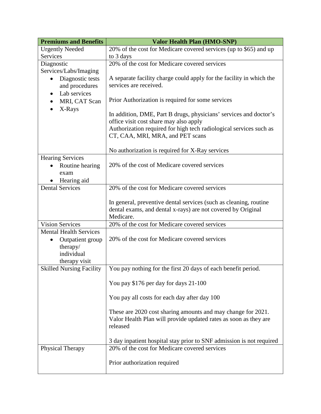| <b>Premiums and Benefits</b>    | <b>Valor Health Plan (HMO-SNP)</b>                                           |  |  |
|---------------------------------|------------------------------------------------------------------------------|--|--|
| <b>Urgently Needed</b>          | 20% of the cost for Medicare covered services (up to \$65) and up            |  |  |
| Services                        | to 3 days                                                                    |  |  |
| Diagnostic                      | 20% of the cost for Medicare covered services                                |  |  |
| Services/Labs/Imaging           |                                                                              |  |  |
| Diagnostic tests                | A separate facility charge could apply for the facility in which the         |  |  |
| and procedures                  | services are received.                                                       |  |  |
| Lab services<br>$\bullet$       |                                                                              |  |  |
| MRI, CAT Scan<br>$\bullet$      | Prior Authorization is required for some services                            |  |  |
| X-Rays                          | In addition, DME, Part B drugs, physicians' services and doctor's            |  |  |
|                                 | office visit cost share may also apply                                       |  |  |
|                                 | Authorization required for high tech radiological services such as           |  |  |
|                                 | CT, CAA, MRI, MRA, and PET scans                                             |  |  |
|                                 | No authorization is required for X-Ray services                              |  |  |
| <b>Hearing Services</b>         |                                                                              |  |  |
| Routine hearing                 | 20% of the cost of Medicare covered services                                 |  |  |
| exam                            |                                                                              |  |  |
| Hearing aid                     |                                                                              |  |  |
| <b>Dental Services</b>          | 20% of the cost for Medicare covered services                                |  |  |
|                                 |                                                                              |  |  |
|                                 | In general, preventive dental services (such as cleaning, routine            |  |  |
|                                 | dental exams, and dental x-rays) are not covered by Original                 |  |  |
|                                 | Medicare.                                                                    |  |  |
| <b>Vision Services</b>          | 20% of the cost for Medicare covered services                                |  |  |
| <b>Mental Health Services</b>   |                                                                              |  |  |
| Outpatient group                | 20% of the cost for Medicare covered services                                |  |  |
| therapy/                        |                                                                              |  |  |
| individual                      |                                                                              |  |  |
| therapy visit                   |                                                                              |  |  |
| <b>Skilled Nursing Facility</b> | You pay nothing for the first 20 days of each benefit period.                |  |  |
|                                 | You pay \$176 per day for days 21-100                                        |  |  |
|                                 | You pay all costs for each day after day 100                                 |  |  |
|                                 |                                                                              |  |  |
|                                 | These are 2020 cost sharing amounts and may change for 2021.                 |  |  |
|                                 | Valor Health Plan will provide updated rates as soon as they are<br>released |  |  |
|                                 |                                                                              |  |  |
|                                 | 3 day inpatient hospital stay prior to SNF admission is not required         |  |  |
| Physical Therapy                | 20% of the cost for Medicare covered services                                |  |  |
|                                 |                                                                              |  |  |
|                                 | Prior authorization required                                                 |  |  |
|                                 |                                                                              |  |  |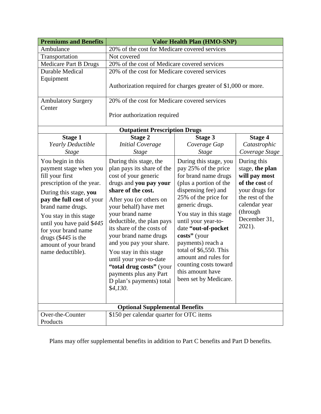| <b>Premiums and Benefits</b>                                                                                                                                                                                                                                                                                                | <b>Valor Health Plan (HMO-SNP)</b>                                                                                                                                                                                                                                                                                                                                                                                                                                   |                                                                                                                                                                                                                                                                                                                                                                                                        |                                                                                                                                                               |  |
|-----------------------------------------------------------------------------------------------------------------------------------------------------------------------------------------------------------------------------------------------------------------------------------------------------------------------------|----------------------------------------------------------------------------------------------------------------------------------------------------------------------------------------------------------------------------------------------------------------------------------------------------------------------------------------------------------------------------------------------------------------------------------------------------------------------|--------------------------------------------------------------------------------------------------------------------------------------------------------------------------------------------------------------------------------------------------------------------------------------------------------------------------------------------------------------------------------------------------------|---------------------------------------------------------------------------------------------------------------------------------------------------------------|--|
| Ambulance                                                                                                                                                                                                                                                                                                                   | 20% of the cost for Medicare covered services                                                                                                                                                                                                                                                                                                                                                                                                                        |                                                                                                                                                                                                                                                                                                                                                                                                        |                                                                                                                                                               |  |
| Transportation                                                                                                                                                                                                                                                                                                              | Not covered                                                                                                                                                                                                                                                                                                                                                                                                                                                          |                                                                                                                                                                                                                                                                                                                                                                                                        |                                                                                                                                                               |  |
| Medicare Part B Drugs                                                                                                                                                                                                                                                                                                       | 20% of the cost of Medicare covered services                                                                                                                                                                                                                                                                                                                                                                                                                         |                                                                                                                                                                                                                                                                                                                                                                                                        |                                                                                                                                                               |  |
| <b>Durable Medical</b>                                                                                                                                                                                                                                                                                                      | 20% of the cost for Medicare covered services                                                                                                                                                                                                                                                                                                                                                                                                                        |                                                                                                                                                                                                                                                                                                                                                                                                        |                                                                                                                                                               |  |
| Equipment                                                                                                                                                                                                                                                                                                                   |                                                                                                                                                                                                                                                                                                                                                                                                                                                                      |                                                                                                                                                                                                                                                                                                                                                                                                        |                                                                                                                                                               |  |
|                                                                                                                                                                                                                                                                                                                             | Authorization required for charges greater of \$1,000 or more.                                                                                                                                                                                                                                                                                                                                                                                                       |                                                                                                                                                                                                                                                                                                                                                                                                        |                                                                                                                                                               |  |
| <b>Ambulatory Surgery</b>                                                                                                                                                                                                                                                                                                   | 20% of the cost for Medicare covered services                                                                                                                                                                                                                                                                                                                                                                                                                        |                                                                                                                                                                                                                                                                                                                                                                                                        |                                                                                                                                                               |  |
| Center                                                                                                                                                                                                                                                                                                                      |                                                                                                                                                                                                                                                                                                                                                                                                                                                                      |                                                                                                                                                                                                                                                                                                                                                                                                        |                                                                                                                                                               |  |
|                                                                                                                                                                                                                                                                                                                             | Prior authorization required                                                                                                                                                                                                                                                                                                                                                                                                                                         |                                                                                                                                                                                                                                                                                                                                                                                                        |                                                                                                                                                               |  |
|                                                                                                                                                                                                                                                                                                                             | <b>Outpatient Prescription Drugs</b>                                                                                                                                                                                                                                                                                                                                                                                                                                 |                                                                                                                                                                                                                                                                                                                                                                                                        |                                                                                                                                                               |  |
| <b>Stage 1</b>                                                                                                                                                                                                                                                                                                              | <b>Stage 2</b>                                                                                                                                                                                                                                                                                                                                                                                                                                                       | <b>Stage 3</b>                                                                                                                                                                                                                                                                                                                                                                                         | <b>Stage 4</b>                                                                                                                                                |  |
| Yearly Deductible                                                                                                                                                                                                                                                                                                           | <b>Initial Coverage</b>                                                                                                                                                                                                                                                                                                                                                                                                                                              | Coverage Gap                                                                                                                                                                                                                                                                                                                                                                                           | Catastrophic                                                                                                                                                  |  |
| <b>Stage</b>                                                                                                                                                                                                                                                                                                                | <b>Stage</b>                                                                                                                                                                                                                                                                                                                                                                                                                                                         | <b>Stage</b>                                                                                                                                                                                                                                                                                                                                                                                           | Coverage Stage                                                                                                                                                |  |
| You begin in this<br>payment stage when you<br>fill your first<br>prescription of the year.<br>During this stage, you<br>pay the full cost of your<br>brand name drugs.<br>You stay in this stage<br>until you have paid \$445<br>for your brand name<br>drugs $(\$445$ is the<br>amount of your brand<br>name deductible). | During this stage, the<br>plan pays its share of the<br>cost of your generic<br>drugs and you pay your<br>share of the cost.<br>After you (or others on<br>your behalf) have met<br>your brand name<br>deductible, the plan pays<br>its share of the costs of<br>your brand name drugs<br>and you pay your share.<br>You stay in this stage<br>until your year-to-date<br>"total drug costs" (your<br>payments plus any Part<br>D plan's payments) total<br>\$4,130. | During this stage, you<br>pay 25% of the price<br>for brand name drugs<br>(plus a portion of the<br>dispensing fee) and<br>25% of the price for<br>generic drugs.<br>You stay in this stage<br>until your year-to-<br>date "out-of-pocket<br>costs" (your<br>payments) reach a<br>total of \$6,550. This<br>amount and rules for<br>counting costs toward<br>this amount have<br>been set by Medicare. | During this<br>stage, the plan<br>will pay most<br>of the cost of<br>your drugs for<br>the rest of the<br>calendar year<br>(through<br>December 31,<br>2021). |  |
| <b>Optional Supplemental Benefits</b>                                                                                                                                                                                                                                                                                       |                                                                                                                                                                                                                                                                                                                                                                                                                                                                      |                                                                                                                                                                                                                                                                                                                                                                                                        |                                                                                                                                                               |  |
| Over-the-Counter                                                                                                                                                                                                                                                                                                            | \$150 per calendar quarter for OTC items                                                                                                                                                                                                                                                                                                                                                                                                                             |                                                                                                                                                                                                                                                                                                                                                                                                        |                                                                                                                                                               |  |
| Products                                                                                                                                                                                                                                                                                                                    |                                                                                                                                                                                                                                                                                                                                                                                                                                                                      |                                                                                                                                                                                                                                                                                                                                                                                                        |                                                                                                                                                               |  |

Plans may offer supplemental benefits in addition to Part C benefits and Part D benefits.